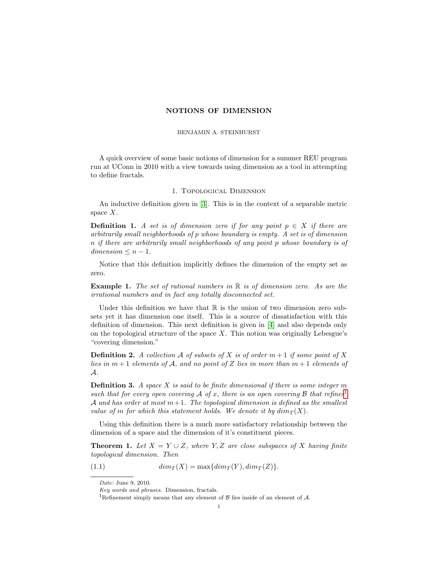## NOTIONS OF DIMENSION

### BENJAMIN A. STEINHURST

A quick overview of some basic notions of dimension for a summer REU program run at UConn in 2010 with a view towards using dimension as a tool in attempting to define fractals.

## 1. Topological Dimension

An inductive definition given in [\[3\]](#page-4-0). This is in the context of a separable metric space  $X$ .

**Definition 1.** A set is of dimension zero if for any point  $p \in X$  if there are arbitrarily small neighborhoods of p whose boundary is empty. A set is of dimension n if there are arbitrarily small neighborhoods of any point p whose boundary is of  $dimension \leq n-1$ .

Notice that this definition implicitly defines the dimension of the empty set as zero.

**Example 1.** The set of rational numbers in  $\mathbb{R}$  is of dimension zero. As are the irrational numbers and in fact any totally disconnected set.

Under this definition we have that  $\mathbb R$  is the union of two dimension zero subsets yet it has dimension one itself. This is a source of dissatisfaction with this definition of dimension. This next definition is given in [\[4\]](#page-4-1) and also depends only on the topological structure of the space  $X$ . This notion was originally Lebesgue's "covering dimension."

**Definition 2.** A collection A of subsets of X is of order  $m+1$  if some point of X lies in  $m+1$  elements of A, and no point of Z lies in more than  $m+1$  elements of A.

**Definition 3.** A space X is said to be finite dimensional if there is some integer  $m$ such that for every open covering  $\mathcal A$  of x, there is an open covering  $\mathcal B$  that refines<sup>[1](#page-0-0)</sup> A and has order at most  $m+1$ . The topological dimension is defined as the smallest value of m for which this statement holds. We denote it by  $dim_T(X)$ .

Using this definition there is a much more satisfactory relationship between the dimension of a space and the dimension of it's constituent pieces.

<span id="page-0-1"></span>**Theorem 1.** Let  $X = Y \cup Z$ , where Y, Z are close subspaces of X having finite topological dimension. Then

(1.1) 
$$
dim_T(X) = \max\{dim_T(Y), dim_T(Z)\}.
$$

Date: June 9, 2010.

Key words and phrases. Dimension, fractals.

<span id="page-0-0"></span><sup>&</sup>lt;sup>1</sup>Refinement simply means that any element of  $\beta$  lies inside of an element of  $\mathcal{A}$ .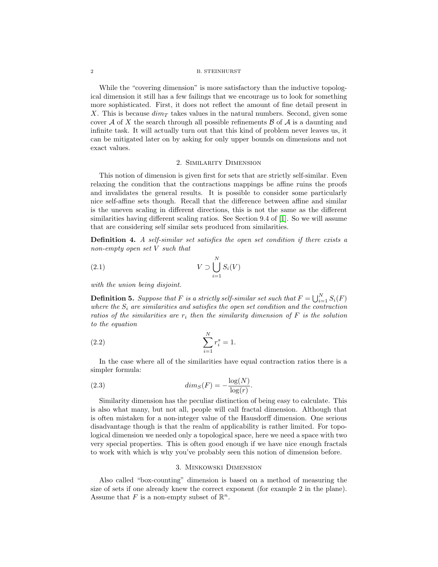#### 2 B. STEINHURST

While the "covering dimension" is more satisfactory than the inductive topological dimension it still has a few failings that we encourage us to look for something more sophisticated. First, it does not reflect the amount of fine detail present in X. This is because  $\dim_T$  takes values in the natural numbers. Second, given some cover A of X the search through all possible refinements  $\mathcal B$  of A is a daunting and infinite task. It will actually turn out that this kind of problem never leaves us, it can be mitigated later on by asking for only upper bounds on dimensions and not exact values.

#### 2. Similarity Dimension

This notion of dimension is given first for sets that are strictly self-similar. Even relaxing the condition that the contractions mappings be affine ruins the proofs and invalidates the general results. It is possible to consider some particularly nice self-affine sets though. Recall that the difference between affine and similar is the uneven scaling in different directions, this is not the same as the different similarities having different scaling ratios. See Section 9.4 of [\[1\]](#page-4-2). So we will assume that are considering self similar sets produced from similarities.

Definition 4. A self-similar set satisfies the open set condition if there exists a non-empty open set V such that

$$
(2.1) \t\t\t V \supset \bigcup_{i=1}^{N} S_i(V)
$$

with the union being disjoint.

<span id="page-1-0"></span>**Definition 5.** Suppose that F is a strictly self-similar set such that  $F = \bigcup_{i=1}^{N} S_i(F)$ where the  $S_i$  are similarities and satisfies the open set condition and the contraction ratios of the similarities are  $r_i$  then the similarity dimension of F is the solution to the equation

(2.2) 
$$
\sum_{i=1}^{N} r_i^s = 1.
$$

In the case where all of the similarities have equal contraction ratios there is a simpler formula:

(2.3) 
$$
dim_S(F) = -\frac{\log(N)}{\log(r)}.
$$

Similarity dimension has the peculiar distinction of being easy to calculate. This is also what many, but not all, people will call fractal dimension. Although that is often mistaken for a non-integer value of the Hausdorff dimension. One serious disadvantage though is that the realm of applicability is rather limited. For topological dimension we needed only a topological space, here we need a space with two very special properties. This is often good enough if we have nice enough fractals to work with which is why you've probably seen this notion of dimension before.

#### 3. Minkowski Dimension

Also called "box-counting" dimension is based on a method of measuring the size of sets if one already knew the correct exponent (for example 2 in the plane). Assume that F is a non-empty subset of  $\mathbb{R}^n$ .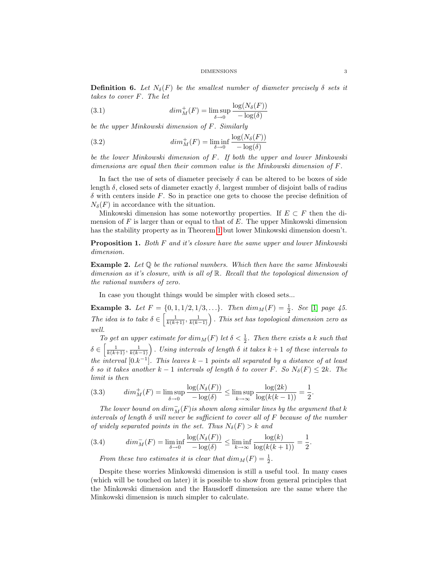**Definition 6.** Let  $N_{\delta}(F)$  be the smallest number of diameter precisely  $\delta$  sets it takes to cover F. The let

(3.1) 
$$
dim_M^+(F) = \limsup_{\delta \to 0} \frac{\log(N_{\delta}(F))}{-\log(\delta)}
$$

be the upper Minkowski dimension of F. Similarly

(3.2) 
$$
dim_M^+(F) = \liminf_{\delta \to 0} \frac{\log(N_{\delta}(F))}{-\log(\delta)}
$$

be the lower Minkowski dimension of F. If both the upper and lower Minkowski dimensions are equal then their common value is the Minkowski dimension of F.

In fact the use of sets of diameter precisely  $\delta$  can be altered to be boxes of side length  $\delta$ , closed sets of diameter exactly  $\delta$ , largest number of disjoint balls of radius  $\delta$  with centers inside F. So in practice one gets to choose the precise definition of  $N_{\delta}(F)$  in accordance with the situation.

Minkowski dimension has some noteworthy properties. If  $E \subset F$  then the dimension of  $F$  is larger than or equal to that of  $E$ . The upper Minkowski dimension has the stability property as in Theorem [1](#page-0-1) but lower Minkowski dimension doesn't.

**Proposition 1.** Both F and it's closure have the same upper and lower Minkowski dimension.

**Example 2.** Let  $\mathbb Q$  be the rational numbers. Which then have the same Minkowski dimension as it's closure, with is all of R. Recall that the topological dimension of the rational numbers of zero.

In case you thought things would be simpler with closed sets...

**Example 3.** Let  $F = \{0, 1, 1/2, 1/3, ...\}$ . Then  $dim_M(F) = \frac{1}{2}$ . See [\[1\]](#page-4-2) page 45. The idea is to take  $\delta \in \left[\frac{1}{k(k+1)}, \frac{1}{k(k-1)}\right)$ . This set has topological dimension zero as well.

To get an upper estimate for  $dim_M(F)$  let  $\delta < \frac{1}{2}$ . Then there exists a k such that  $\delta \in \left[\frac{1}{k(k+1)}, \frac{1}{k(k-1)}\right)$ . Using intervals of length  $\delta$  it takes  $k+1$  of these intervals to the interval  $[0,k^{-1}]$ . This leaves  $k-1$  points all separated by a distance of at least δ so it takes another  $k-1$  intervals of length δ to cover F. So  $N_\delta(F) \leq 2k$ . The limit is then

(3.3) 
$$
\dim_M^+(F) = \limsup_{\delta \to 0} \frac{\log(N_\delta(F))}{-\log(\delta)} \le \limsup_{k \to \infty} \frac{\log(2k)}{\log(k(k-1))} = \frac{1}{2}.
$$

The lower bound on  $\dim_M^-(F)$  is shown along similar lines by the argument that k intervals of length  $\delta$  will never be sufficient to cover all of F because of the number of widely separated points in the set. Thus  $N_{\delta}(F) > k$  and

(3.4) 
$$
dim_M^-(F) = \liminf_{\delta \to 0} \frac{\log(N_{\delta}(F))}{-\log(\delta)} \le \liminf_{k \to \infty} \frac{\log(k)}{\log(k(k+1))} = \frac{1}{2}.
$$

From these two estimates it is clear that  $dim_M(F) = \frac{1}{2}$ .

Despite these worries Minkowski dimension is still a useful tool. In many cases (which will be touched on later) it is possible to show from general principles that the Minkowski dimension and the Hausdorff dimension are the same where the Minkowski dimension is much simpler to calculate.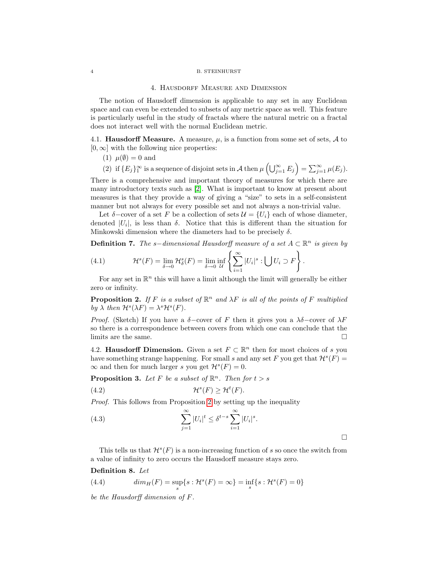#### 4 B. STEINHURST

### 4. Hausdorff Measure and Dimension

The notion of Hausdorff dimension is applicable to any set in any Euclidean space and can even be extended to subsets of any metric space as well. This feature is particularly useful in the study of fractals where the natural metric on a fractal does not interact well with the normal Euclidean metric.

4.1. **Hausdorff Measure.** A measure,  $\mu$ , is a function from some set of sets,  $\mathcal A$  to  $[0, \infty]$  with the following nice properties:

(1)  $\mu(\emptyset) = 0$  and

(2) if  $\{E_j\}_1^{\infty}$  is a sequence of disjoint sets in A then  $\mu\left(\bigcup_{j=1}^{\infty} E_j\right) = \sum_{j=1}^{\infty} \mu(E_j)$ .

There is a comprehensive and important theory of measures for which there are many introductory texts such as [\[2\]](#page-4-3). What is important to know at present about measures is that they provide a way of giving a "size" to sets in a self-consistent manner but not always for every possible set and not always a non-trivial value.

Let  $\delta$ –cover of a set F be a collection of sets  $\mathcal{U} = \{U_i\}$  each of whose diameter, denoted  $|U_i|$ , is less than  $\delta$ . Notice that this is different than the situation for Minkowski dimension where the diameters had to be precisely  $\delta$ .

**Definition 7.** The s-dimensional Hausdorff measure of a set  $A \subset \mathbb{R}^n$  is given by

(4.1) 
$$
\mathcal{H}^s(F) = \lim_{\delta \to 0} \mathcal{H}^s_{\delta}(F) = \lim_{\delta \to 0} \inf_{\mathcal{U}} \left\{ \sum_{i=1}^{\infty} |U_i|^s : \bigcup U_i \supset F \right\}.
$$

For any set in  $\mathbb{R}^n$  this will have a limit although the limit will generally be either zero or infinity.

<span id="page-3-0"></span>**Proposition 2.** If F is a subset of  $\mathbb{R}^n$  and  $\lambda F$  is all of the points of F multiplied by  $\lambda$  then  $\mathcal{H}^s(\lambda F) = \lambda^s \mathcal{H}^s(F)$ .

*Proof.* (Sketch) If you have a  $\delta$ -cover of F then it gives you a  $\lambda\delta$ -cover of  $\lambda$ F so there is a correspondence between covers from which one can conclude that the limits are the same.  $\Box$ 

4.2. **Hausdorff Dimension.** Given a set  $F \subset \mathbb{R}^n$  then for most choices of s you have something strange happening. For small s and any set F you get that  $\mathcal{H}^s(F)$  =  $\infty$  and then for much larger s you get  $\mathcal{H}^s(F) = 0$ .

**Proposition 3.** Let F be a subset of  $\mathbb{R}^n$ . Then for  $t > s$ 

$$
(4.2) \t\t\t\t\mathcal{H}^s(F) \ge \mathcal{H}^t(F).
$$

Proof. This follows from Proposition [2](#page-3-0) by setting up the inequality

(4.3) 
$$
\sum_{j=1}^{\infty} |U_i|^t \leq \delta^{t-s} \sum_{i=1}^{\infty} |U_i|^s.
$$

This tells us that  $\mathcal{H}^s(F)$  is a non-increasing function of s so once the switch from a value of infinity to zero occurs the Hausdorff measure stays zero.

## Definition 8. Let

(4.4) 
$$
dim_H(F) = \sup_s \{ s : \mathcal{H}^s(F) = \infty \} = \inf_s \{ s : \mathcal{H}^s(F) = 0 \}
$$

be the Hausdorff dimension of F.